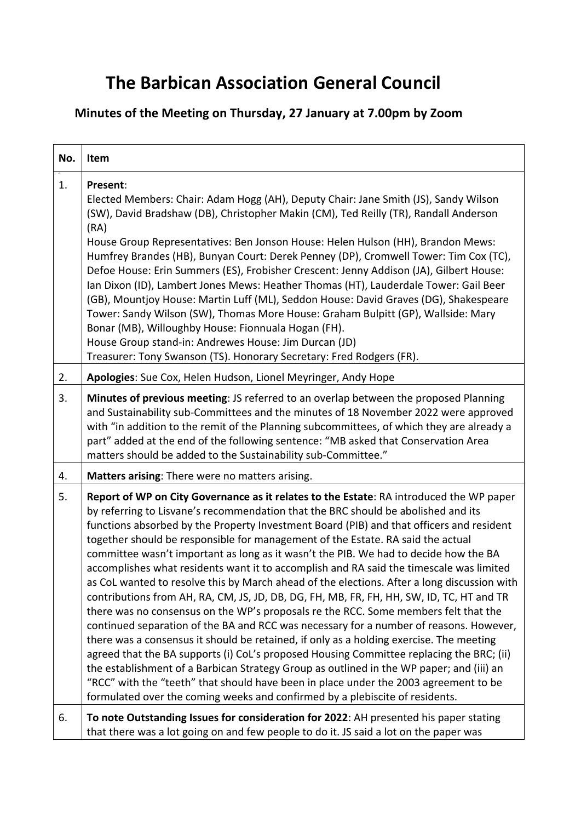## **The Barbican Association General Council**

## **Minutes of the Meeting on Thursday, 27 January at 7.00pm by Zoom**

| No. | Item                                                                                                                                                                                                                                                                                                                                                                                                                                                                                                                                                                                                                                                                                                                                                                                                                                                                                                                                                                                                                                                                                                                                                                                                                                                                                                                                                                                  |
|-----|---------------------------------------------------------------------------------------------------------------------------------------------------------------------------------------------------------------------------------------------------------------------------------------------------------------------------------------------------------------------------------------------------------------------------------------------------------------------------------------------------------------------------------------------------------------------------------------------------------------------------------------------------------------------------------------------------------------------------------------------------------------------------------------------------------------------------------------------------------------------------------------------------------------------------------------------------------------------------------------------------------------------------------------------------------------------------------------------------------------------------------------------------------------------------------------------------------------------------------------------------------------------------------------------------------------------------------------------------------------------------------------|
| 1.  | Present:<br>Elected Members: Chair: Adam Hogg (AH), Deputy Chair: Jane Smith (JS), Sandy Wilson<br>(SW), David Bradshaw (DB), Christopher Makin (CM), Ted Reilly (TR), Randall Anderson<br>(RA)<br>House Group Representatives: Ben Jonson House: Helen Hulson (HH), Brandon Mews:<br>Humfrey Brandes (HB), Bunyan Court: Derek Penney (DP), Cromwell Tower: Tim Cox (TC),<br>Defoe House: Erin Summers (ES), Frobisher Crescent: Jenny Addison (JA), Gilbert House:<br>Ian Dixon (ID), Lambert Jones Mews: Heather Thomas (HT), Lauderdale Tower: Gail Beer<br>(GB), Mountjoy House: Martin Luff (ML), Seddon House: David Graves (DG), Shakespeare<br>Tower: Sandy Wilson (SW), Thomas More House: Graham Bulpitt (GP), Wallside: Mary<br>Bonar (MB), Willoughby House: Fionnuala Hogan (FH).<br>House Group stand-in: Andrewes House: Jim Durcan (JD)<br>Treasurer: Tony Swanson (TS). Honorary Secretary: Fred Rodgers (FR).                                                                                                                                                                                                                                                                                                                                                                                                                                                      |
| 2.  | Apologies: Sue Cox, Helen Hudson, Lionel Meyringer, Andy Hope                                                                                                                                                                                                                                                                                                                                                                                                                                                                                                                                                                                                                                                                                                                                                                                                                                                                                                                                                                                                                                                                                                                                                                                                                                                                                                                         |
| 3.  | Minutes of previous meeting: JS referred to an overlap between the proposed Planning<br>and Sustainability sub-Committees and the minutes of 18 November 2022 were approved<br>with "in addition to the remit of the Planning subcommittees, of which they are already a<br>part" added at the end of the following sentence: "MB asked that Conservation Area<br>matters should be added to the Sustainability sub-Committee."                                                                                                                                                                                                                                                                                                                                                                                                                                                                                                                                                                                                                                                                                                                                                                                                                                                                                                                                                       |
| 4.  | Matters arising: There were no matters arising.                                                                                                                                                                                                                                                                                                                                                                                                                                                                                                                                                                                                                                                                                                                                                                                                                                                                                                                                                                                                                                                                                                                                                                                                                                                                                                                                       |
| 5.  | Report of WP on City Governance as it relates to the Estate: RA introduced the WP paper<br>by referring to Lisvane's recommendation that the BRC should be abolished and its<br>functions absorbed by the Property Investment Board (PIB) and that officers and resident<br>together should be responsible for management of the Estate. RA said the actual<br>committee wasn't important as long as it wasn't the PIB. We had to decide how the BA<br>accomplishes what residents want it to accomplish and RA said the timescale was limited<br>as CoL wanted to resolve this by March ahead of the elections. After a long discussion with<br>contributions from AH, RA, CM, JS, JD, DB, DG, FH, MB, FR, FH, HH, SW, ID, TC, HT and TR<br>there was no consensus on the WP's proposals re the RCC. Some members felt that the<br>continued separation of the BA and RCC was necessary for a number of reasons. However,<br>there was a consensus it should be retained, if only as a holding exercise. The meeting<br>agreed that the BA supports (i) CoL's proposed Housing Committee replacing the BRC; (ii)<br>the establishment of a Barbican Strategy Group as outlined in the WP paper; and (iii) an<br>"RCC" with the "teeth" that should have been in place under the 2003 agreement to be<br>formulated over the coming weeks and confirmed by a plebiscite of residents. |
| 6.  | To note Outstanding Issues for consideration for 2022: AH presented his paper stating<br>that there was a lot going on and few people to do it. JS said a lot on the paper was                                                                                                                                                                                                                                                                                                                                                                                                                                                                                                                                                                                                                                                                                                                                                                                                                                                                                                                                                                                                                                                                                                                                                                                                        |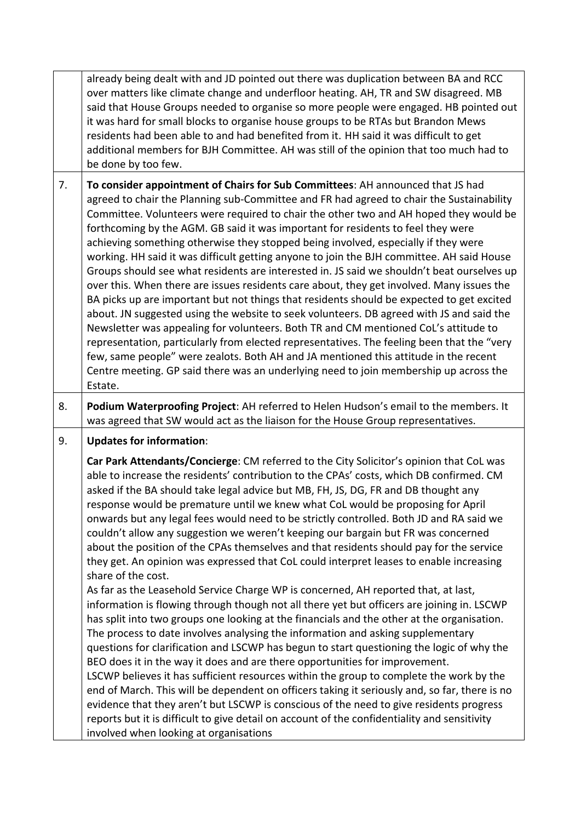|    | already being dealt with and JD pointed out there was duplication between BA and RCC<br>over matters like climate change and underfloor heating. AH, TR and SW disagreed. MB<br>said that House Groups needed to organise so more people were engaged. HB pointed out<br>it was hard for small blocks to organise house groups to be RTAs but Brandon Mews<br>residents had been able to and had benefited from it. HH said it was difficult to get<br>additional members for BJH Committee. AH was still of the opinion that too much had to<br>be done by too few.                                                                                                                                                                                                                                                                                                                                                                                                                                                                                                                                                                                                                                                                                                                                                                                                                                                                                                                                                                                                                                                                                                                                                                      |
|----|-------------------------------------------------------------------------------------------------------------------------------------------------------------------------------------------------------------------------------------------------------------------------------------------------------------------------------------------------------------------------------------------------------------------------------------------------------------------------------------------------------------------------------------------------------------------------------------------------------------------------------------------------------------------------------------------------------------------------------------------------------------------------------------------------------------------------------------------------------------------------------------------------------------------------------------------------------------------------------------------------------------------------------------------------------------------------------------------------------------------------------------------------------------------------------------------------------------------------------------------------------------------------------------------------------------------------------------------------------------------------------------------------------------------------------------------------------------------------------------------------------------------------------------------------------------------------------------------------------------------------------------------------------------------------------------------------------------------------------------------|
| 7. | To consider appointment of Chairs for Sub Committees: AH announced that JS had<br>agreed to chair the Planning sub-Committee and FR had agreed to chair the Sustainability<br>Committee. Volunteers were required to chair the other two and AH hoped they would be<br>forthcoming by the AGM. GB said it was important for residents to feel they were<br>achieving something otherwise they stopped being involved, especially if they were<br>working. HH said it was difficult getting anyone to join the BJH committee. AH said House<br>Groups should see what residents are interested in. JS said we shouldn't beat ourselves up<br>over this. When there are issues residents care about, they get involved. Many issues the<br>BA picks up are important but not things that residents should be expected to get excited<br>about. JN suggested using the website to seek volunteers. DB agreed with JS and said the<br>Newsletter was appealing for volunteers. Both TR and CM mentioned CoL's attitude to<br>representation, particularly from elected representatives. The feeling been that the "very<br>few, same people" were zealots. Both AH and JA mentioned this attitude in the recent<br>Centre meeting. GP said there was an underlying need to join membership up across the<br>Estate.                                                                                                                                                                                                                                                                                                                                                                                                                           |
| 8. | Podium Waterproofing Project: AH referred to Helen Hudson's email to the members. It<br>was agreed that SW would act as the liaison for the House Group representatives.                                                                                                                                                                                                                                                                                                                                                                                                                                                                                                                                                                                                                                                                                                                                                                                                                                                                                                                                                                                                                                                                                                                                                                                                                                                                                                                                                                                                                                                                                                                                                                  |
| 9. | <b>Updates for information:</b>                                                                                                                                                                                                                                                                                                                                                                                                                                                                                                                                                                                                                                                                                                                                                                                                                                                                                                                                                                                                                                                                                                                                                                                                                                                                                                                                                                                                                                                                                                                                                                                                                                                                                                           |
|    | Car Park Attendants/Concierge: CM referred to the City Solicitor's opinion that CoL was<br>able to increase the residents' contribution to the CPAs' costs, which DB confirmed. CM<br>asked if the BA should take legal advice but MB, FH, JS, DG, FR and DB thought any<br>response would be premature until we knew what CoL would be proposing for April<br>onwards but any legal fees would need to be strictly controlled. Both JD and RA said we<br>couldn't allow any suggestion we weren't keeping our bargain but FR was concerned<br>about the position of the CPAs themselves and that residents should pay for the service<br>they get. An opinion was expressed that CoL could interpret leases to enable increasing<br>share of the cost.<br>As far as the Leasehold Service Charge WP is concerned, AH reported that, at last,<br>information is flowing through though not all there yet but officers are joining in. LSCWP<br>has split into two groups one looking at the financials and the other at the organisation.<br>The process to date involves analysing the information and asking supplementary<br>questions for clarification and LSCWP has begun to start questioning the logic of why the<br>BEO does it in the way it does and are there opportunities for improvement.<br>LSCWP believes it has sufficient resources within the group to complete the work by the<br>end of March. This will be dependent on officers taking it seriously and, so far, there is no<br>evidence that they aren't but LSCWP is conscious of the need to give residents progress<br>reports but it is difficult to give detail on account of the confidentiality and sensitivity<br>involved when looking at organisations |